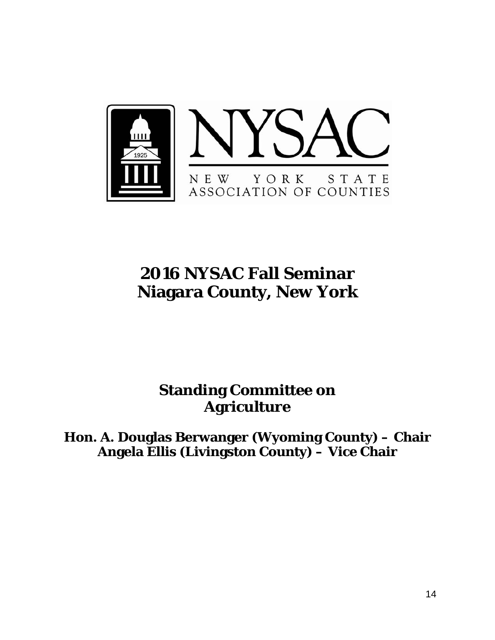

## **2016 NYSAC Fall Seminar Niagara County, New York**

## **Standing Committee on Agriculture**

**Hon. A. Douglas Berwanger (Wyoming County) – Chair Angela Ellis (Livingston County) – Vice Chair**